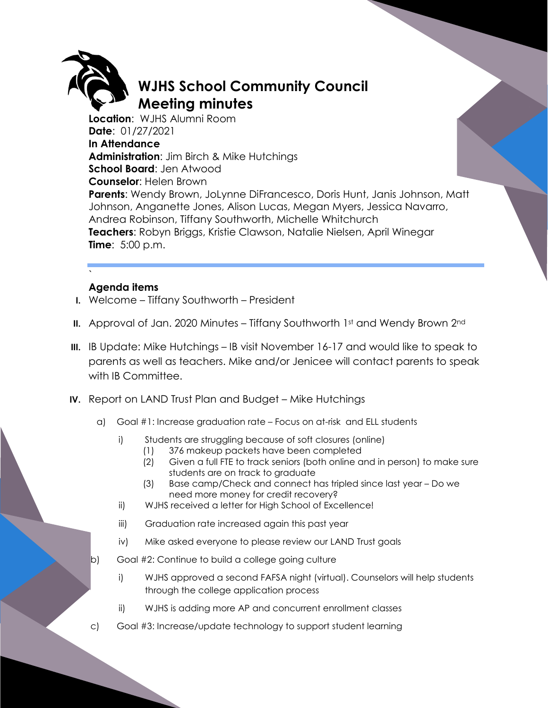

## **WJHS School Community Council Meeting minutes**

**Location**: WJHS Alumni Room **Date**: 01/27/2021 **In Attendance Administration**: Jim Birch & Mike Hutchings **School Board**: Jen Atwood **Counselor**: Helen Brown **Parents**: Wendy Brown, JoLynne DiFrancesco, Doris Hunt, Janis Johnson, Matt Johnson, Anganette Jones, Alison Lucas, Megan Myers, Jessica Navarro, Andrea Robinson, Tiffany Southworth, Michelle Whitchurch **Teachers**: Robyn Briggs, Kristie Clawson, Natalie Nielsen, April Winegar **Time**: 5:00 p.m.

## ` **Agenda items**

- **I.** Welcome Tiffany Southworth President
- **II.** Approval of Jan. 2020 Minutes Tiffany Southworth 1st and Wendy Brown 2<sup>nd</sup>
- **III.** IB Update: Mike Hutchings IB visit November 16-17 and would like to speak to parents as well as teachers. Mike and/or Jenicee will contact parents to speak with IB Committee.
- **IV.** Report on LAND Trust Plan and Budget Mike Hutchings
	- a) Goal #1: Increase graduation rate Focus on at-risk and ELL students
		- i) Students are struggling because of soft closures (online)
			- (1) 376 makeup packets have been completed
			- (2) Given a full FTE to track seniors (both online and in person) to make sure students are on track to graduate
			- (3) Base camp/Check and connect has tripled since last year Do we need more money for credit recovery?
		- ii) WJHS received a letter for High School of Excellence!
		- iii) Graduation rate increased again this past year
		- iv) Mike asked everyone to please review our LAND Trust goals
	- b) Goal #2: Continue to build a college going culture
		- i) WJHS approved a second FAFSA night (virtual). Counselors will help students through the college application process
		- ii) WJHS is adding more AP and concurrent enrollment classes
	- c) Goal #3: Increase/update technology to support student learning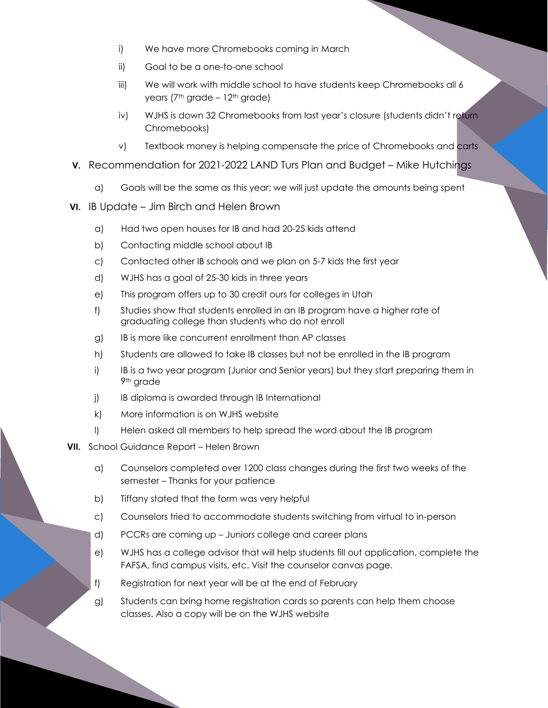- i) We have more Chromebooks coming in March
- ii) Goal to be a one-to-one school
- iii) We will work with middle school to have students keep Chromebooks all 6 years ( $7<sup>th</sup>$  grade –  $12<sup>th</sup>$  grade)
- iv) WJHS is down 32 Chromebooks from last year's closure (students didn't return Chromebooks)
- v) Textbook money is helping compensate the price of Chromebooks and carts
- **V.** Recommendation for 2021-2022 LAND Turs Plan and Budget Mike Hutchings
	- a) Goals will be the same as this year; we will just update the amounts being spent
- **VI.** IB Update Jim Birch and Helen Brown
	- a) Had two open houses for IB and had 20-25 kids attend
	- b) Contacting middle school about IB
	- c) Contacted other IB schools and we plan on 5-7 kids the first year
	- d) WJHS has a goal of 25-30 kids in three years
	- e) This program offers up to 30 credit ours for colleges in Utah
	- f) Studies show that students enrolled in an IB program have a higher rate of graduating college than students who do not enroll
	- g) IB is more like concurrent enrollment than AP classes
	- h) Students are allowed to take IB classes but not be enrolled in the IB program
	- i) IB is a two year program (Junior and Senior years) but they start preparing them in 9th grade
	- j) IB diploma is awarded through IB International
	- k) More information is on WJHS website
	- l) Helen asked all members to help spread the word about the IB program
- **VII.** School Guidance Report Helen Brown
	- a) Counselors completed over 1200 class changes during the first two weeks of the semester – Thanks for your patience
	- b) Tiffany stated that the form was very helpful
	- c) Counselors tried to accommodate students switching from virtual to in-person
	- d) PCCRs are coming up Juniors college and career plans
	- e) WJHS has a college advisor that will help students fill out application, complete the FAFSA, find campus visits, etc. Visit the counselor canvas page.
	- f) Registration for next year will be at the end of February
	- g) Students can bring home registration cards so parents can help them choose classes. Also a copy will be on the WJHS website